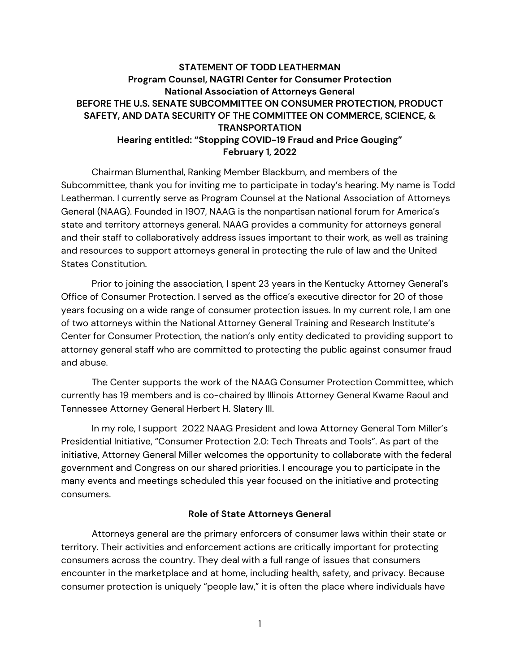## **STATEMENT OF TODD LEATHERMAN Program Counsel, NAGTRI Center for Consumer Protection National Association of Attorneys General BEFORE THE U.S. SENATE SUBCOMMITTEE ON CONSUMER PROTECTION, PRODUCT SAFETY, AND DATA SECURITY OF THE COMMITTEE ON COMMERCE, SCIENCE, & TRANSPORTATION Hearing entitled: "Stopping COVID-19 Fraud and Price Gouging" February 1, 2022**

Chairman Blumenthal, Ranking Member Blackburn, and members of the Subcommittee, thank you for inviting me to participate in today's hearing. My name is Todd Leatherman. I currently serve as Program Counsel at the National Association of Attorneys General (NAAG). Founded in 1907, NAAG is the nonpartisan national forum for America's state and territory attorneys general. NAAG provides a community for attorneys general and their staff to collaboratively address issues important to their work, as well as training and resources to support attorneys general in protecting the rule of law and the United States Constitution.

Prior to joining the association, I spent 23 years in the Kentucky Attorney General's Office of Consumer Protection. I served as the office's executive director for 20 of those years focusing on a wide range of consumer protection issues. In my current role, I am one of two attorneys within the National Attorney General Training and Research Institute's Center for Consumer Protection, the nation's only entity dedicated to providing support to attorney general staff who are committed to protecting the public against consumer fraud and abuse.

The Center supports the work of the NAAG Consumer Protection Committee, which currently has 19 members and is co-chaired by Illinois Attorney General Kwame Raoul and Tennessee Attorney General Herbert H. Slatery III.

In my role, I support 2022 NAAG President and Iowa Attorney General Tom Miller's Presidential Initiative, "Consumer Protection 2.0: Tech Threats and Tools". As part of the initiative, Attorney General Miller welcomes the opportunity to collaborate with the federal government and Congress on our shared priorities. I encourage you to participate in the many events and meetings scheduled this year focused on the initiative and protecting consumers.

### **Role of State Attorneys General**

Attorneys general are the primary enforcers of consumer laws within their state or territory. Their activities and enforcement actions are critically important for protecting consumers across the country. They deal with a full range of issues that consumers encounter in the marketplace and at home, including health, safety, and privacy. Because consumer protection is uniquely "people law," it is often the place where individuals have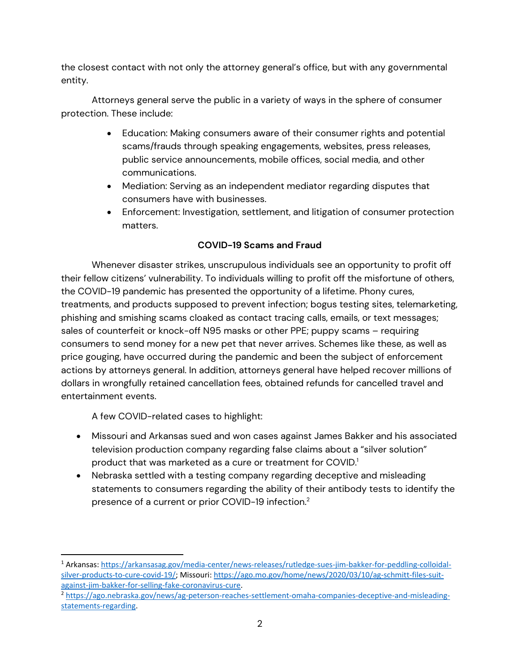the closest contact with not only the attorney general's office, but with any governmental entity.

Attorneys general serve the public in a variety of ways in the sphere of consumer protection. These include:

- Education: Making consumers aware of their consumer rights and potential scams/frauds through speaking engagements, websites, press releases, public service announcements, mobile offices, social media, and other communications.
- Mediation: Serving as an independent mediator regarding disputes that consumers have with businesses.
- Enforcement: Investigation, settlement, and litigation of consumer protection matters.

## **COVID-19 Scams and Fraud**

Whenever disaster strikes, unscrupulous individuals see an opportunity to profit off their fellow citizens' vulnerability. To individuals willing to profit off the misfortune of others, the COVID-19 pandemic has presented the opportunity of a lifetime. Phony cures, treatments, and products supposed to prevent infection; bogus testing sites, telemarketing, phishing and smishing scams cloaked as contact tracing calls, emails, or text messages; sales of counterfeit or knock-off N95 masks or other PPE; puppy scams – requiring consumers to send money for a new pet that never arrives. Schemes like these, as well as price gouging, have occurred during the pandemic and been the subject of enforcement actions by attorneys general. In addition, attorneys general have helped recover millions of dollars in wrongfully retained cancellation fees, obtained refunds for cancelled travel and entertainment events.

A few COVID-related cases to highlight:

- Missouri and Arkansas sued and won cases against James Bakker and his associated television production company regarding false claims about a "silver solution" product that was marketed as a cure or treatment for COVID.<sup>1</sup>
- Nebraska settled with a testing company regarding deceptive and misleading statements to consumers regarding the ability of their antibody tests to identify the presence of a current or prior COVID-19 infection.2

<sup>1</sup> Arkansas: https://arkansasag.gov/media-center/news-releases/rutledge-sues-jim-bakker-for-peddling-colloidalsilver-products-to-cure-covid-19/; Missouri: https://ago.mo.gov/home/news/2020/03/10/ag-schmitt-files-suitagainst‐jim‐bakker‐for‐selling‐fake‐coronavirus‐cure.

<sup>2</sup> https://ago.nebraska.gov/news/ag‐peterson‐reaches‐settlement‐omaha‐companies‐deceptive‐and‐misleading‐ statements‐regarding.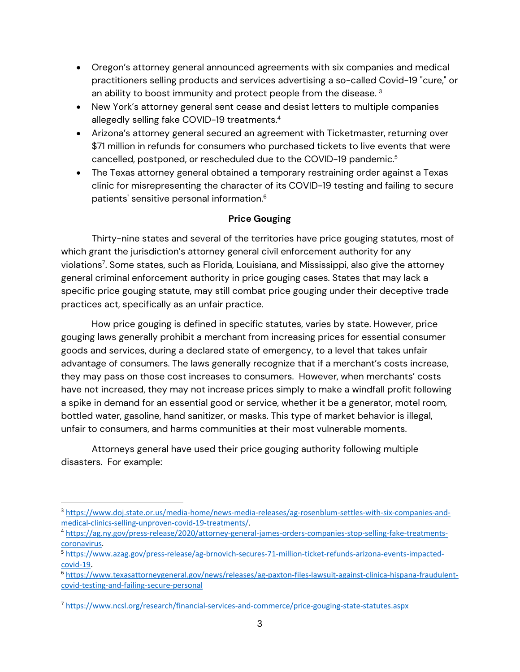- Oregon's attorney general announced agreements with six companies and medical practitioners selling products and services advertising a so-called Covid-19 "cure," or an ability to boost immunity and protect people from the disease.<sup>3</sup>
- New York's attorney general sent cease and desist letters to multiple companies allegedly selling fake COVID-19 treatments.<sup>4</sup>
- Arizona's attorney general secured an agreement with Ticketmaster, returning over \$71 million in refunds for consumers who purchased tickets to live events that were cancelled, postponed, or rescheduled due to the COVID-19 pandemic.<sup>5</sup>
- The Texas attorney general obtained a temporary restraining order against a Texas clinic for misrepresenting the character of its COVID-19 testing and failing to secure patients' sensitive personal information.<sup>6</sup>

### **Price Gouging**

Thirty-nine states and several of the territories have price gouging statutes, most of which grant the jurisdiction's attorney general civil enforcement authority for any violations7 . Some states, such as Florida, Louisiana, and Mississippi, also give the attorney general criminal enforcement authority in price gouging cases. States that may lack a specific price gouging statute, may still combat price gouging under their deceptive trade practices act, specifically as an unfair practice.

 How price gouging is defined in specific statutes, varies by state. However, price gouging laws generally prohibit a merchant from increasing prices for essential consumer goods and services, during a declared state of emergency, to a level that takes unfair advantage of consumers. The laws generally recognize that if a merchant's costs increase, they may pass on those cost increases to consumers. However, when merchants' costs have not increased, they may not increase prices simply to make a windfall profit following a spike in demand for an essential good or service, whether it be a generator, motel room, bottled water, gasoline, hand sanitizer, or masks. This type of market behavior is illegal, unfair to consumers, and harms communities at their most vulnerable moments.

Attorneys general have used their price gouging authority following multiple disasters. For example:

<sup>&</sup>lt;sup>3</sup> https://www.doj.state.or.us/media-home/news-media-releases/ag-rosenblum-settles-with-six-companies-andmedical-clinics-selling-unproven-covid-19-treatments/.

<sup>4</sup> https://ag.ny.gov/press‐release/2020/attorney‐general‐james‐orders‐companies‐stop‐selling‐fake‐treatments‐ coronavirus.

<sup>5</sup> https://www.azag.gov/press-release/ag-brnovich-secures-71-million-ticket-refunds-arizona-events-impactedcovid‐19.

<sup>6</sup> https://www.texasattorneygeneral.gov/news/releases/ag‐paxton‐files‐lawsuit‐against‐clinica‐hispana‐fraudulent‐ covid‐testing‐and‐failing‐secure‐personal

<sup>7</sup> https://www.ncsl.org/research/financial‐services‐and‐commerce/price‐gouging‐state‐statutes.aspx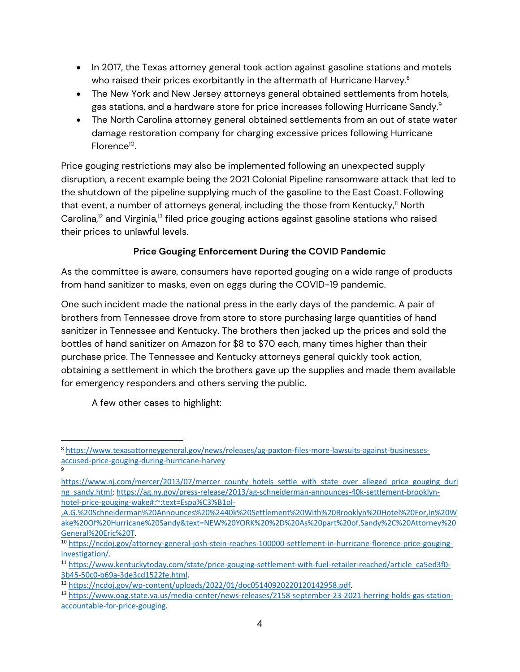- In 2017, the Texas attorney general took action against gasoline stations and motels who raised their prices exorbitantly in the aftermath of Hurricane Harvey.<sup>8</sup>
- The New York and New Jersey attorneys general obtained settlements from hotels, gas stations, and a hardware store for price increases following Hurricane Sandy.<sup>9</sup>
- The North Carolina attorney general obtained settlements from an out of state water damage restoration company for charging excessive prices following Hurricane Florence<sup>10</sup>.

Price gouging restrictions may also be implemented following an unexpected supply disruption, a recent example being the 2021 Colonial Pipeline ransomware attack that led to the shutdown of the pipeline supplying much of the gasoline to the East Coast. Following that event, a number of attorneys general, including the those from Kentucky,<sup>11</sup> North Carolina, $12$  and Virginia, $13$  filed price gouging actions against gasoline stations who raised their prices to unlawful levels.

# **Price Gouging Enforcement During the COVID Pandemic**

As the committee is aware, consumers have reported gouging on a wide range of products from hand sanitizer to masks, even on eggs during the COVID-19 pandemic.

One such incident made the national press in the early days of the pandemic. A pair of brothers from Tennessee drove from store to store purchasing large quantities of hand sanitizer in Tennessee and Kentucky. The brothers then jacked up the prices and sold the bottles of hand sanitizer on Amazon for \$8 to \$70 each, many times higher than their purchase price. The Tennessee and Kentucky attorneys general quickly took action, obtaining a settlement in which the brothers gave up the supplies and made them available for emergency responders and others serving the public.

A few other cases to highlight:

9

<sup>8</sup> https://www.texasattorneygeneral.gov/news/releases/ag‐paxton‐files‐more‐lawsuits‐against‐businesses‐ accused‐price‐gouging‐during‐hurricane‐harvey

https://www.nj.com/mercer/2013/07/mercer\_county\_hotels\_settle\_with\_state\_over\_alleged\_price\_gouging\_duri ng\_sandy.html; https://ag.ny.gov/press-release/2013/ag-schneiderman-announces-40k-settlement-brooklynhotel-price-gouging-wake#:~:text=Espa%C3%B1ol-

<sup>,</sup>A.G.%20Schneiderman%20Announces%20%2440k%20Settlement%20With%20Brooklyn%20Hotel%20For,In%20W ake%20Of%20Hurricane%20Sandy&text=NEW%20YORK%20%2D%20As%20part%20of,Sandy%2C%20Attorney%20 General%20Eric%20T.

<sup>10</sup> https://ncdoj.gov/attorney-general-josh-stein-reaches-100000-settlement-in-hurricane-florence-price-gouginginvestigation/.

<sup>11</sup> https://www.kentuckytoday.com/state/price‐gouging‐settlement‐with‐fuel‐retailer‐reached/article\_ca5ed3f0‐ 3b45‐50c0‐b69a‐3de3cd1522fe.html.

<sup>12</sup> https://ncdoj.gov/wp‐content/uploads/2022/01/doc05140920220120142958.pdf.

<sup>13</sup> https://www.oag.state.va.us/media-center/news-releases/2158-september-23-2021-herring-holds-gas-stationaccountable‐for‐price‐gouging.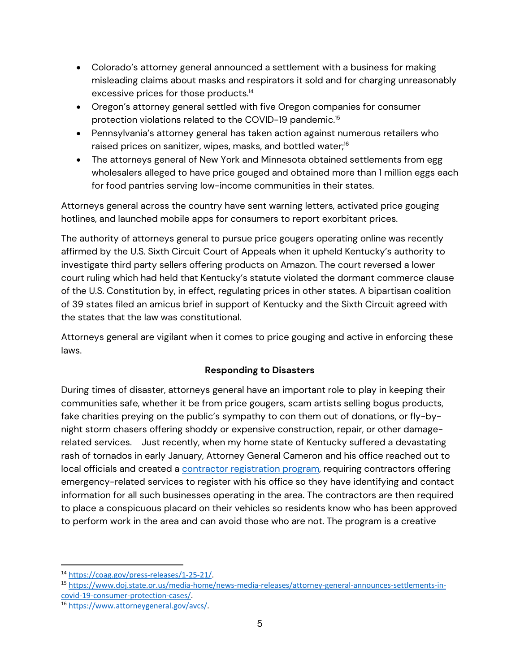- Colorado's attorney general announced a settlement with a business for making misleading claims about masks and respirators it sold and for charging unreasonably excessive prices for those products.14
- Oregon's attorney general settled with five Oregon companies for consumer protection violations related to the COVID-19 pandemic.<sup>15</sup>
- Pennsylvania's attorney general has taken action against numerous retailers who raised prices on sanitizer, wipes, masks, and bottled water;<sup>16</sup>
- The attorneys general of New York and Minnesota obtained settlements from egg wholesalers alleged to have price gouged and obtained more than 1 million eggs each for food pantries serving low-income communities in their states.

Attorneys general across the country have sent warning letters, activated price gouging hotlines, and launched mobile apps for consumers to report exorbitant prices.

The authority of attorneys general to pursue price gougers operating online was recently affirmed by the U.S. Sixth Circuit Court of Appeals when it upheld Kentucky's authority to investigate third party sellers offering products on Amazon. The court reversed a lower court ruling which had held that Kentucky's statute violated the dormant commerce clause of the U.S. Constitution by, in effect, regulating prices in other states. A bipartisan coalition of 39 states filed an amicus brief in support of Kentucky and the Sixth Circuit agreed with the states that the law was constitutional.

Attorneys general are vigilant when it comes to price gouging and active in enforcing these laws.

## **Responding to Disasters**

During times of disaster, attorneys general have an important role to play in keeping their communities safe, whether it be from price gougers, scam artists selling bogus products, fake charities preying on the public's sympathy to con them out of donations, or fly-bynight storm chasers offering shoddy or expensive construction, repair, or other damagerelated services. Just recently, when my home state of Kentucky suffered a devastating rash of tornados in early January, Attorney General Cameron and his office reached out to local officials and created a **contractor registration program**, requiring contractors offering emergency-related services to register with his office so they have identifying and contact information for all such businesses operating in the area. The contractors are then required to place a conspicuous placard on their vehicles so residents know who has been approved to perform work in the area and can avoid those who are not. The program is a creative

<sup>14</sup> https://coag.gov/press-releases/1-25-21/.

<sup>15</sup> https://www.doj.state.or.us/media‐home/news‐media‐releases/attorney‐general‐announces‐settlements‐in‐ covid‐19‐consumer‐protection‐cases/.

<sup>16</sup> https://www.attorneygeneral.gov/avcs/.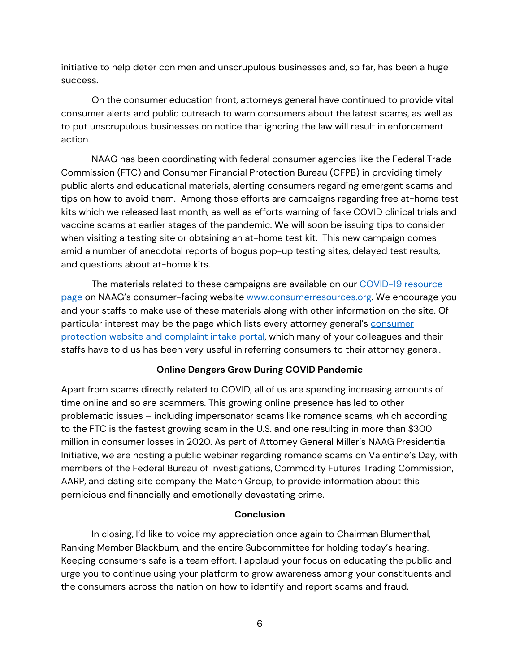initiative to help deter con men and unscrupulous businesses and, so far, has been a huge success.

On the consumer education front, attorneys general have continued to provide vital consumer alerts and public outreach to warn consumers about the latest scams, as well as to put unscrupulous businesses on notice that ignoring the law will result in enforcement action.

NAAG has been coordinating with federal consumer agencies like the Federal Trade Commission (FTC) and Consumer Financial Protection Bureau (CFPB) in providing timely public alerts and educational materials, alerting consumers regarding emergent scams and tips on how to avoid them. Among those efforts are campaigns regarding free at-home test kits which we released last month, as well as efforts warning of fake COVID clinical trials and vaccine scams at earlier stages of the pandemic. We will soon be issuing tips to consider when visiting a testing site or obtaining an at-home test kit. This new campaign comes amid a number of anecdotal reports of bogus pop-up testing sites, delayed test results, and questions about at-home kits.

The materials related to these campaigns are available on our COVID-19 resource page on NAAG's consumer-facing website www.consumerresources.org. We encourage you and your staffs to make use of these materials along with other information on the site. Of particular interest may be the page which lists every attorney general's consumer protection website and complaint intake portal, which many of your colleagues and their staffs have told us has been very useful in referring consumers to their attorney general.

### **Online Dangers Grow During COVID Pandemic**

Apart from scams directly related to COVID, all of us are spending increasing amounts of time online and so are scammers. This growing online presence has led to other problematic issues – including impersonator scams like romance scams, which according to the FTC is the fastest growing scam in the U.S. and one resulting in more than \$300 million in consumer losses in 2020. As part of Attorney General Miller's NAAG Presidential Initiative, we are hosting a public webinar regarding romance scams on Valentine's Day, with members of the Federal Bureau of Investigations, Commodity Futures Trading Commission, AARP, and dating site company the Match Group, to provide information about this pernicious and financially and emotionally devastating crime.

### **Conclusion**

In closing, I'd like to voice my appreciation once again to Chairman Blumenthal, Ranking Member Blackburn, and the entire Subcommittee for holding today's hearing. Keeping consumers safe is a team effort. I applaud your focus on educating the public and urge you to continue using your platform to grow awareness among your constituents and the consumers across the nation on how to identify and report scams and fraud.